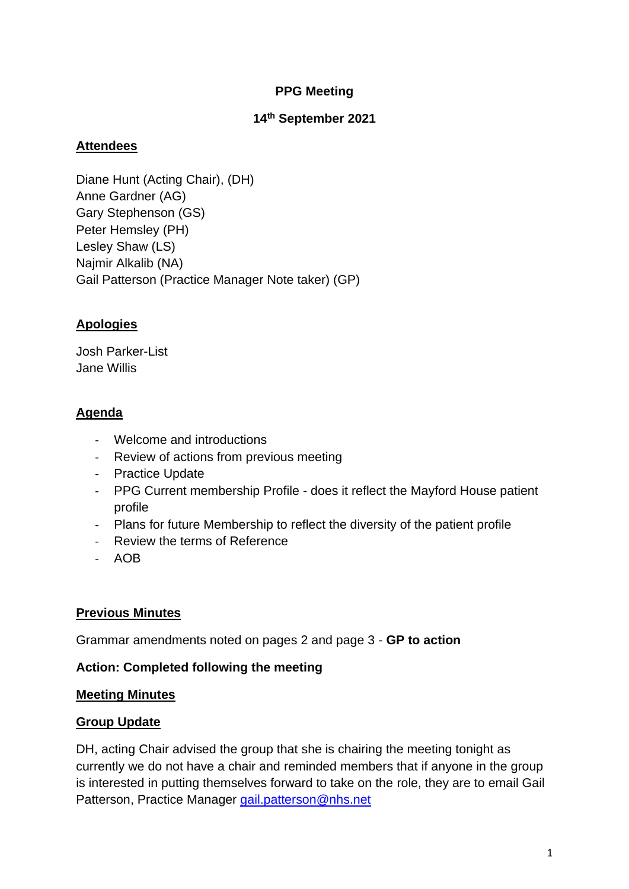### **PPG Meeting**

## **14 th September 2021**

## **Attendees**

Diane Hunt (Acting Chair), (DH) Anne Gardner (AG) Gary Stephenson (GS) Peter Hemsley (PH) Lesley Shaw (LS) Najmir Alkalib (NA) Gail Patterson (Practice Manager Note taker) (GP)

# **Apologies**

Josh Parker-List Jane Willis

# **Agenda**

- Welcome and introductions
- Review of actions from previous meeting
- Practice Update
- PPG Current membership Profile does it reflect the Mayford House patient profile
- Plans for future Membership to reflect the diversity of the patient profile
- Review the terms of Reference
- AOB

### **Previous Minutes**

Grammar amendments noted on pages 2 and page 3 - **GP to action**

### **Action: Completed following the meeting**

### **Meeting Minutes**

### **Group Update**

DH, acting Chair advised the group that she is chairing the meeting tonight as currently we do not have a chair and reminded members that if anyone in the group is interested in putting themselves forward to take on the role, they are to email Gail Patterson, Practice Manager [gail.patterson@nhs.net](mailto:gail.patterson@nhs.net)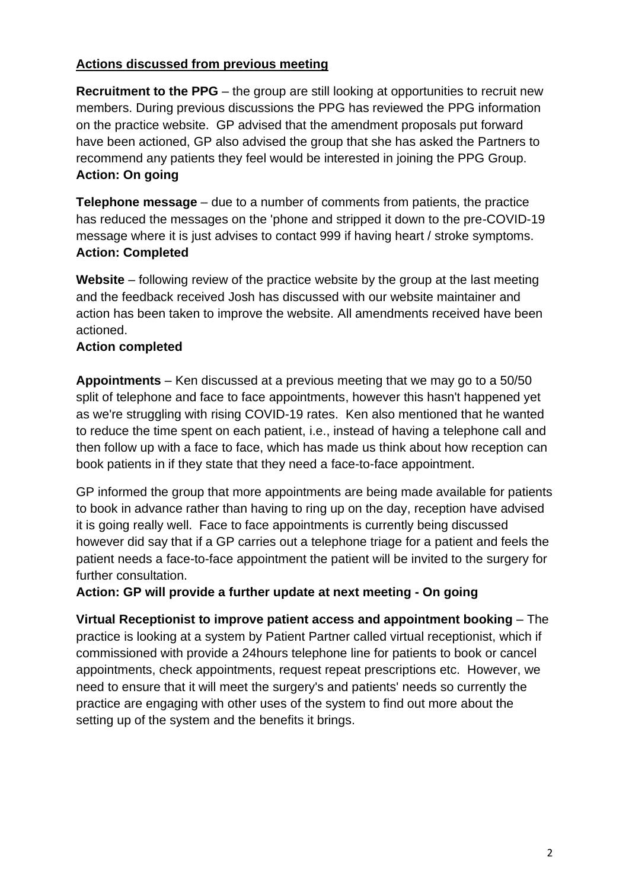## **Actions discussed from previous meeting**

**Recruitment to the PPG** – the group are still looking at opportunities to recruit new members. During previous discussions the PPG has reviewed the PPG information on the practice website. GP advised that the amendment proposals put forward have been actioned, GP also advised the group that she has asked the Partners to recommend any patients they feel would be interested in joining the PPG Group. **Action: On going**

**Telephone message** – due to a number of comments from patients, the practice has reduced the messages on the 'phone and stripped it down to the pre-COVID-19 message where it is just advises to contact 999 if having heart / stroke symptoms. **Action: Completed**

**Website** – following review of the practice website by the group at the last meeting and the feedback received Josh has discussed with our website maintainer and action has been taken to improve the website. All amendments received have been actioned.

#### **Action completed**

**Appointments** – Ken discussed at a previous meeting that we may go to a 50/50 split of telephone and face to face appointments, however this hasn't happened yet as we're struggling with rising COVID-19 rates. Ken also mentioned that he wanted to reduce the time spent on each patient, i.e., instead of having a telephone call and then follow up with a face to face, which has made us think about how reception can book patients in if they state that they need a face-to-face appointment.

GP informed the group that more appointments are being made available for patients to book in advance rather than having to ring up on the day, reception have advised it is going really well. Face to face appointments is currently being discussed however did say that if a GP carries out a telephone triage for a patient and feels the patient needs a face-to-face appointment the patient will be invited to the surgery for further consultation.

**Action: GP will provide a further update at next meeting - On going**

**Virtual Receptionist to improve patient access and appointment booking** – The practice is looking at a system by Patient Partner called virtual receptionist, which if commissioned with provide a 24hours telephone line for patients to book or cancel appointments, check appointments, request repeat prescriptions etc. However, we need to ensure that it will meet the surgery's and patients' needs so currently the practice are engaging with other uses of the system to find out more about the setting up of the system and the benefits it brings.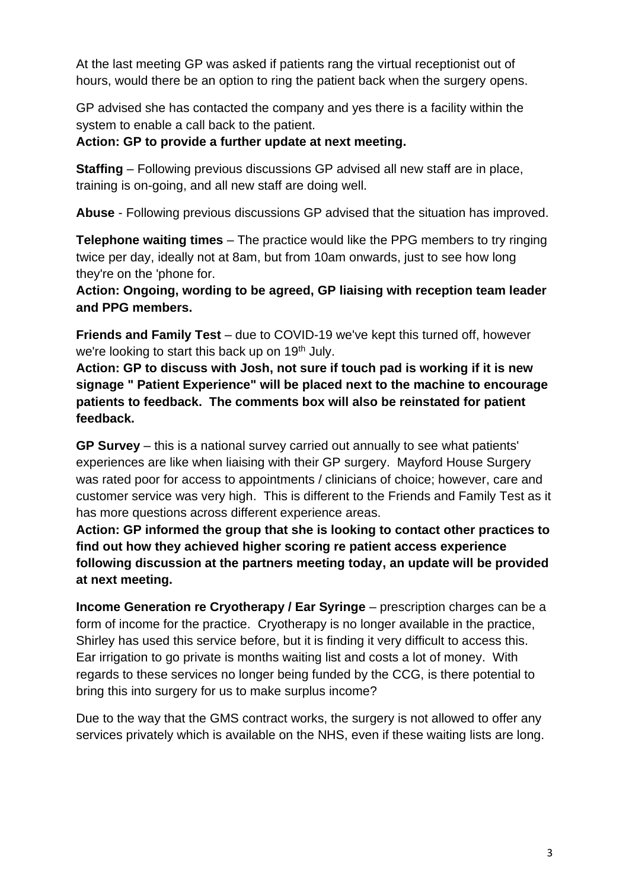At the last meeting GP was asked if patients rang the virtual receptionist out of hours, would there be an option to ring the patient back when the surgery opens.

GP advised she has contacted the company and yes there is a facility within the system to enable a call back to the patient.

### **Action: GP to provide a further update at next meeting.**

**Staffing** – Following previous discussions GP advised all new staff are in place, training is on-going, and all new staff are doing well.

**Abuse** - Following previous discussions GP advised that the situation has improved.

**Telephone waiting times** – The practice would like the PPG members to try ringing twice per day, ideally not at 8am, but from 10am onwards, just to see how long they're on the 'phone for.

**Action: Ongoing, wording to be agreed, GP liaising with reception team leader and PPG members.** 

**Friends and Family Test** – due to COVID-19 we've kept this turned off, however we're looking to start this back up on 19<sup>th</sup> July.

**Action: GP to discuss with Josh, not sure if touch pad is working if it is new signage " Patient Experience" will be placed next to the machine to encourage patients to feedback. The comments box will also be reinstated for patient feedback.**

**GP Survey** – this is a national survey carried out annually to see what patients' experiences are like when liaising with their GP surgery. Mayford House Surgery was rated poor for access to appointments / clinicians of choice; however, care and customer service was very high. This is different to the Friends and Family Test as it has more questions across different experience areas.

**Action: GP informed the group that she is looking to contact other practices to find out how they achieved higher scoring re patient access experience following discussion at the partners meeting today, an update will be provided at next meeting.**

**Income Generation re Cryotherapy / Ear Syringe** – prescription charges can be a form of income for the practice. Cryotherapy is no longer available in the practice, Shirley has used this service before, but it is finding it very difficult to access this. Ear irrigation to go private is months waiting list and costs a lot of money. With regards to these services no longer being funded by the CCG, is there potential to bring this into surgery for us to make surplus income?

Due to the way that the GMS contract works, the surgery is not allowed to offer any services privately which is available on the NHS, even if these waiting lists are long.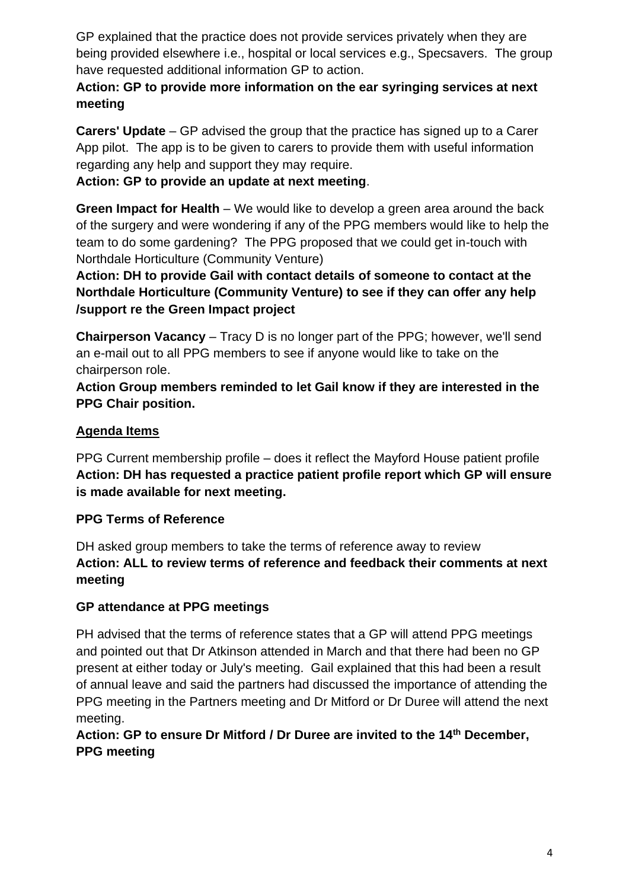GP explained that the practice does not provide services privately when they are being provided elsewhere i.e., hospital or local services e.g., Specsavers. The group have requested additional information GP to action.

# **Action: GP to provide more information on the ear syringing services at next meeting**

**Carers' Update** – GP advised the group that the practice has signed up to a Carer App pilot. The app is to be given to carers to provide them with useful information regarding any help and support they may require.

# **Action: GP to provide an update at next meeting**.

**Green Impact for Health** – We would like to develop a green area around the back of the surgery and were wondering if any of the PPG members would like to help the team to do some gardening? The PPG proposed that we could get in-touch with Northdale Horticulture (Community Venture)

**Action: DH to provide Gail with contact details of someone to contact at the Northdale Horticulture (Community Venture) to see if they can offer any help /support re the Green Impact project**

**Chairperson Vacancy** – Tracy D is no longer part of the PPG; however, we'll send an e-mail out to all PPG members to see if anyone would like to take on the chairperson role.

**Action Group members reminded to let Gail know if they are interested in the PPG Chair position.** 

## **Agenda Items**

PPG Current membership profile – does it reflect the Mayford House patient profile **Action: DH has requested a practice patient profile report which GP will ensure is made available for next meeting.**

### **PPG Terms of Reference**

DH asked group members to take the terms of reference away to review **Action: ALL to review terms of reference and feedback their comments at next meeting**

### **GP attendance at PPG meetings**

PH advised that the terms of reference states that a GP will attend PPG meetings and pointed out that Dr Atkinson attended in March and that there had been no GP present at either today or July's meeting. Gail explained that this had been a result of annual leave and said the partners had discussed the importance of attending the PPG meeting in the Partners meeting and Dr Mitford or Dr Duree will attend the next meeting.

# **Action: GP to ensure Dr Mitford / Dr Duree are invited to the 14th December, PPG meeting**